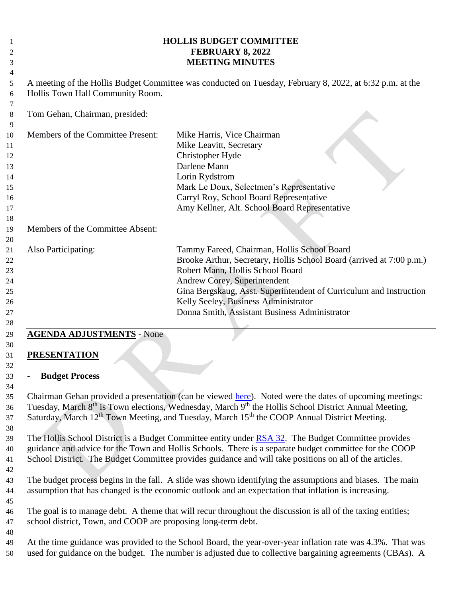| 1<br>2<br>3                                        |                                                                                                                                              | <b>HOLLIS BUDGET COMMITTEE</b><br>FEBRUARY 8, 2022<br><b>MEETING MINUTES</b>                                                                                                                                                                                                                                                                                     |  |  |  |  |
|----------------------------------------------------|----------------------------------------------------------------------------------------------------------------------------------------------|------------------------------------------------------------------------------------------------------------------------------------------------------------------------------------------------------------------------------------------------------------------------------------------------------------------------------------------------------------------|--|--|--|--|
| 4<br>5<br>6                                        | A meeting of the Hollis Budget Committee was conducted on Tuesday, February 8, 2022, at 6:32 p.m. at the<br>Hollis Town Hall Community Room. |                                                                                                                                                                                                                                                                                                                                                                  |  |  |  |  |
| 7<br>8<br>9                                        | Tom Gehan, Chairman, presided:                                                                                                               |                                                                                                                                                                                                                                                                                                                                                                  |  |  |  |  |
| 10<br>11<br>12<br>13<br>14<br>15<br>16<br>17<br>18 | Members of the Committee Present:                                                                                                            | Mike Harris, Vice Chairman<br>Mike Leavitt, Secretary<br>Christopher Hyde<br>Darlene Mann<br>Lorin Rydstrom<br>Mark Le Doux, Selectmen's Representative<br>Carryl Roy, School Board Representative<br>Amy Kellner, Alt. School Board Representative                                                                                                              |  |  |  |  |
| 19<br>20                                           | Members of the Committee Absent:                                                                                                             |                                                                                                                                                                                                                                                                                                                                                                  |  |  |  |  |
| 21<br>22<br>23<br>24<br>25<br>26<br>27<br>28       | Also Participating:                                                                                                                          | Tammy Fareed, Chairman, Hollis School Board<br>Brooke Arthur, Secretary, Hollis School Board (arrived at 7:00 p.m.)<br>Robert Mann, Hollis School Board<br>Andrew Corey, Superintendent<br>Gina Bergskaug, Asst. Superintendent of Curriculum and Instruction<br>Kelly Seeley, Business Administrator<br>Donna Smith, Assistant Business Administrator           |  |  |  |  |
| 29<br>30<br>31                                     | <b>AGENDA ADJUSTMENTS - None</b><br><b>PRESENTATION</b>                                                                                      |                                                                                                                                                                                                                                                                                                                                                                  |  |  |  |  |
| 32<br>33<br>34                                     | <b>Budget Process</b>                                                                                                                        |                                                                                                                                                                                                                                                                                                                                                                  |  |  |  |  |
| 35<br>36<br>37                                     |                                                                                                                                              | Chairman Gehan provided a presentation (can be viewed here). Noted were the dates of upcoming meetings:<br>Tuesday, March 8 <sup>th</sup> is Town elections, Wednesday, March 9 <sup>th</sup> the Hollis School District Annual Meeting,<br>Saturday, March 12 <sup>th</sup> Town Meeting, and Tuesday, March 15 <sup>th</sup> the COOP Annual District Meeting. |  |  |  |  |
| 38<br>39                                           |                                                                                                                                              | The Hollis School District is a Budget Committee entity under RSA 32. The Budget Committee provides                                                                                                                                                                                                                                                              |  |  |  |  |

 guidance and advice for the Town and Hollis Schools. There is a separate budget committee for the COOP School District. The Budget Committee provides guidance and will take positions on all of the articles. 

 The budget process begins in the fall. A slide was shown identifying the assumptions and biases. The main assumption that has changed is the economic outlook and an expectation that inflation is increasing.

 The goal is to manage debt. A theme that will recur throughout the discussion is all of the taxing entities; school district, Town, and COOP are proposing long-term debt.

 At the time guidance was provided to the School Board, the year-over-year inflation rate was 4.3%. That was used for guidance on the budget. The number is adjusted due to collective bargaining agreements (CBAs). A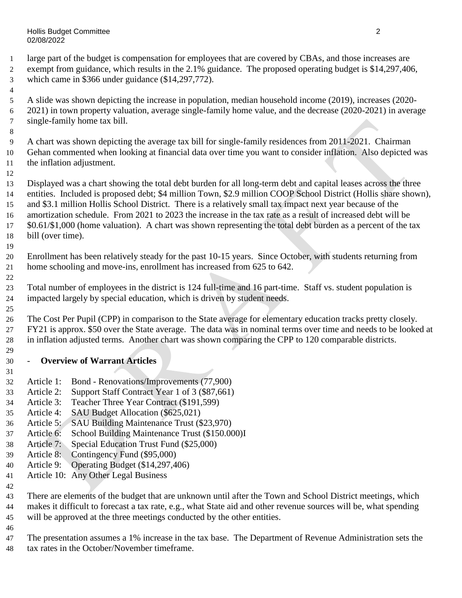Hollis Budget Committee 2 02/08/2022

 large part of the budget is compensation for employees that are covered by CBAs, and those increases are exempt from guidance, which results in the 2.1% guidance. The proposed operating budget is \$14,297,406, which came in \$366 under guidance (\$14,297,772).

- A slide was shown depicting the increase in population, median household income (2019), increases (2020- 2021) in town property valuation, average single-family home value, and the decrease (2020-2021) in average single-family home tax bill.
- A chart was shown depicting the average tax bill for single-family residences from 2011-2021. Chairman Gehan commented when looking at financial data over time you want to consider inflation. Also depicted was the inflation adjustment.
- 

 Displayed was a chart showing the total debt burden for all long-term debt and capital leases across the three entities. Included is proposed debt; \$4 million Town, \$2.9 million COOP School District (Hollis share shown), and \$3.1 million Hollis School District. There is a relatively small tax impact next year because of the amortization schedule. From 2021 to 2023 the increase in the tax rate as a result of increased debt will be \$0.61/\$1,000 (home valuation). A chart was shown representing the total debt burden as a percent of the tax bill (over time).

- Enrollment has been relatively steady for the past 10-15 years. Since October, with students returning from home schooling and move-ins, enrollment has increased from 625 to 642.
- Total number of employees in the district is 124 full-time and 16 part-time. Staff vs. student population is impacted largely by special education, which is driven by student needs.
- The Cost Per Pupil (CPP) in comparison to the State average for elementary education tracks pretty closely. FY21 is approx. \$50 over the State average. The data was in nominal terms over time and needs to be looked at in inflation adjusted terms. Another chart was shown comparing the CPP to 120 comparable districts.
- **Overview of Warrant Articles**
- Article 1: Bond Renovations/Improvements (77,900)
- Article 2: Support Staff Contract Year 1 of 3 (\$87,661)
- Article 3: Teacher Three Year Contract (\$191,599)
- Article 4: SAU Budget Allocation (\$625,021)
- Article 5: SAU Building Maintenance Trust (\$23,970)
- Article 6: School Building Maintenance Trust (\$150.000)I
- Article 7: Special Education Trust Fund (\$25,000)
- Article 8: Contingency Fund (\$95,000)
- Article 9: Operating Budget (\$14,297,406)
- Article 10: Any Other Legal Business
- 
- There are elements of the budget that are unknown until after the Town and School District meetings, which makes it difficult to forecast a tax rate, e.g., what State aid and other revenue sources will be, what spending will be approved at the three meetings conducted by the other entities.
- 
- The presentation assumes a 1% increase in the tax base. The Department of Revenue Administration sets the tax rates in the October/November timeframe.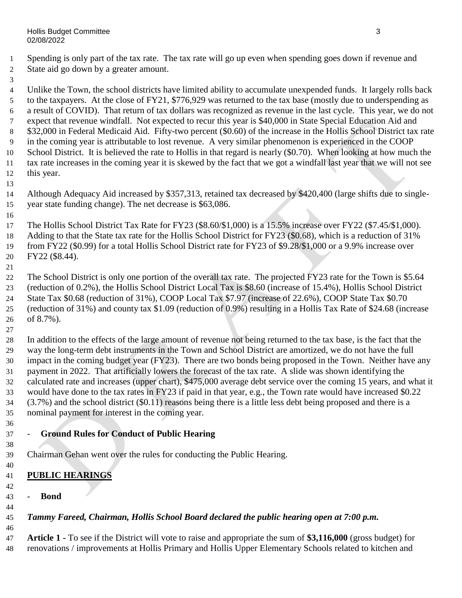- Spending is only part of the tax rate. The tax rate will go up even when spending goes down if revenue and State aid go down by a greater amount.
- 

 Unlike the Town, the school districts have limited ability to accumulate unexpended funds. It largely rolls back to the taxpayers. At the close of FY21, \$776,929 was returned to the tax base (mostly due to underspending as a result of COVID). That return of tax dollars was recognized as revenue in the last cycle. This year, we do not expect that revenue windfall. Not expected to recur this year is \$40,000 in State Special Education Aid and \$32,000 in Federal Medicaid Aid. Fifty-two percent (\$0.60) of the increase in the Hollis School District tax rate in the coming year is attributable to lost revenue. A very similar phenomenon is experienced in the COOP School District. It is believed the rate to Hollis in that regard is nearly (\$0.70). When looking at how much the tax rate increases in the coming year it is skewed by the fact that we got a windfall last year that we will not see this year.

- Although Adequacy Aid increased by \$357,313, retained tax decreased by \$420,400 (large shifts due to single-year state funding change). The net decrease is \$63,086.
- The Hollis School District Tax Rate for FY23 (\$8.60/\$1,000) is a 15.5% increase over FY22 (\$7.45/\$1,000). 18 Adding to that the State tax rate for the Hollis School District for FY23 (\$0.68), which is a reduction of 31% from FY22 (\$0.99) for a total Hollis School District rate for FY23 of \$9.28/\$1,000 or a 9.9% increase over FY22 (\$8.44).
- 22 The School District is only one portion of the overall tax rate. The projected FY23 rate for the Town is \$5.64 (reduction of 0.2%), the Hollis School District Local Tax is \$8.60 (increase of 15.4%), Hollis School District State Tax \$0.68 (reduction of 31%), COOP Local Tax \$7.97 (increase of 22.6%), COOP State Tax \$0.70 (reduction of 31%) and county tax \$1.09 (reduction of 0.9%) resulting in a Hollis Tax Rate of \$24.68 (increase of 8.7%).
- In addition to the effects of the large amount of revenue not being returned to the tax base, is the fact that the way the long-term debt instruments in the Town and School District are amortized, we do not have the full impact in the coming budget year (FY23). There are two bonds being proposed in the Town. Neither have any payment in 2022. That artificially lowers the forecast of the tax rate. A slide was shown identifying the calculated rate and increases (upper chart), \$475,000 average debt service over the coming 15 years, and what it would have done to the tax rates in FY23 if paid in that year, e.g., the Town rate would have increased \$0.22 (3.7%) and the school district (\$0.11) reasons being there is a little less debt being proposed and there is a nominal payment for interest in the coming year.
- - **Ground Rules for Conduct of Public Hearing**
- Chairman Gehan went over the rules for conducting the Public Hearing.
- **PUBLIC HEARINGS**
- - **Bond**
- *Tammy Fareed, Chairman, Hollis School Board declared the public hearing open at 7:00 p.m.*
- **Article 1 -** To see if the District will vote to raise and appropriate the sum of **\$3,116,000** (gross budget) for renovations / improvements at Hollis Primary and Hollis Upper Elementary Schools related to kitchen and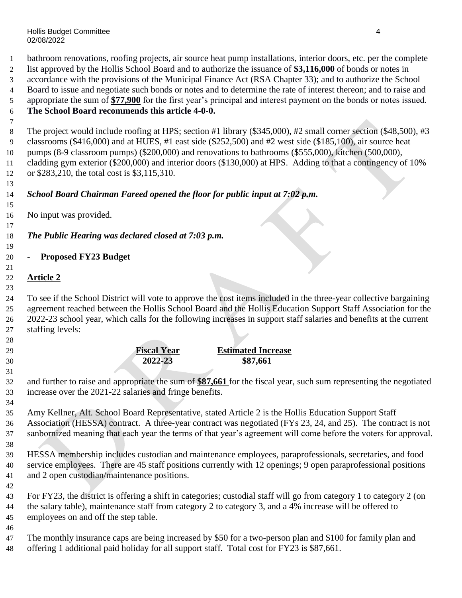bathroom renovations, roofing projects, air source heat pump installations, interior doors, etc. per the complete list approved by the Hollis School Board and to authorize the issuance of **\$3,116,000** of bonds or notes in

- accordance with the provisions of the Municipal Finance Act (RSA Chapter 33); and to authorize the School
- Board to issue and negotiate such bonds or notes and to determine the rate of interest thereon; and to raise and

 appropriate the sum of **\$77,900** for the first year's principal and interest payment on the bonds or notes issued. **The School Board recommends this article 4-0-0.**

 8 The project would include roofing at HPS; section #1 library (\$345,000), #2 small corner section (\$48,500), #3 classrooms (\$416,000) and at HUES, #1 east side (\$252,500) and #2 west side (\$185,100), air source heat pumps (8-9 classroom pumps) (\$200,000) and renovations to bathrooms (\$555,000), kitchen (500,000), cladding gym exterior (\$200,000) and interior doors (\$130,000) at HPS. Adding to that a contingency of 10% or \$283,210, the total cost is \$3,115,310.

# *School Board Chairman Fareed opened the floor for public input at 7:02 p.m.*

No input was provided.

 *The Public Hearing was declared closed at 7:03 p.m.*

# - **Proposed FY23 Budget**

## **Article 2**

 To see if the School District will vote to approve the cost items included in the three-year collective bargaining agreement reached between the Hollis School Board and the Hollis Education Support Staff Association for the 2022-23 school year, which calls for the following increases in support staff salaries and benefits at the current staffing levels:

 **Fiscal Year Estimated Increase 2022-23 \$87,661** 

 and further to raise and appropriate the sum of **\$87,661** for the fiscal year, such sum representing the negotiated increase over the 2021-22 salaries and fringe benefits.

 Amy Kellner, Alt. School Board Representative, stated Article 2 is the Hollis Education Support Staff Association (HESSA) contract. A three-year contract was negotiated (FYs 23, 24, and 25). The contract is not sanbornized meaning that each year the terms of that year's agreement will come before the voters for approval. 

 HESSA membership includes custodian and maintenance employees, paraprofessionals, secretaries, and food service employees. There are 45 staff positions currently with 12 openings; 9 open paraprofessional positions and 2 open custodian/maintenance positions.

 For FY23, the district is offering a shift in categories; custodial staff will go from category 1 to category 2 (on the salary table), maintenance staff from category 2 to category 3, and a 4% increase will be offered to employees on and off the step table.

 The monthly insurance caps are being increased by \$50 for a two-person plan and \$100 for family plan and offering 1 additional paid holiday for all support staff. Total cost for FY23 is \$87,661.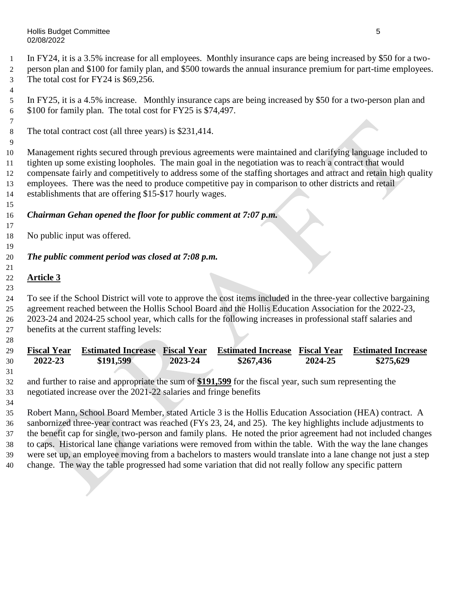In FY24, it is a 3.5% increase for all employees. Monthly insurance caps are being increased by \$50 for a two-

- person plan and \$100 for family plan, and \$500 towards the annual insurance premium for part-time employees.
- The total cost for FY24 is \$69,256.
- In FY25, it is a 4.5% increase. Monthly insurance caps are being increased by \$50 for a two-person plan and \$100 for family plan. The total cost for FY25 is \$74,497.
- The total contract cost (all three years) is \$231,414.
- Management rights secured through previous agreements were maintained and clarifying language included to tighten up some existing loopholes. The main goal in the negotiation was to reach a contract that would compensate fairly and competitively to address some of the staffing shortages and attract and retain high quality employees. There was the need to produce competitive pay in comparison to other districts and retail establishments that are offering \$15-\$17 hourly wages.
- *Chairman Gehan opened the floor for public comment at 7:07 p.m.*
- No public input was offered.
- *The public comment period was closed at 7:08 p.m.*

### **Article 3**

 To see if the School District will vote to approve the cost items included in the three-year collective bargaining agreement reached between the Hollis School Board and the Hollis Education Association for the 2022-23, 2023-24 and 2024-25 school year, which calls for the following increases in professional staff salaries and benefits at the current staffing levels:

| 29 | <b>Fiscal Year</b>                                                                                             | <b>Estimated Increase</b>                                                                                    | <b>Fiscal Year</b> | <b>Estimated Increase</b> | <b>Fiscal Year</b> | <b>Estimated Increase</b> |  |
|----|----------------------------------------------------------------------------------------------------------------|--------------------------------------------------------------------------------------------------------------|--------------------|---------------------------|--------------------|---------------------------|--|
| 30 | 2022-23                                                                                                        | \$191,599                                                                                                    | 2023-24            | \$267,436                 | 2024-25            | \$275,629                 |  |
| 31 |                                                                                                                |                                                                                                              |                    |                           |                    |                           |  |
| 32 | and further to raise and appropriate the sum of \$191,599 for the fiscal year, such sum representing the       |                                                                                                              |                    |                           |                    |                           |  |
| 33 | negotiated increase over the 2021-22 salaries and fringe benefits                                              |                                                                                                              |                    |                           |                    |                           |  |
| 34 |                                                                                                                |                                                                                                              |                    |                           |                    |                           |  |
| 35 | Robert Mann, School Board Member, stated Article 3 is the Hollis Education Association (HEA) contract. A       |                                                                                                              |                    |                           |                    |                           |  |
| 36 | sanbornized three-year contract was reached (FYs 23, 24, and 25). The key highlights include adjustments to    |                                                                                                              |                    |                           |                    |                           |  |
| 37 | the benefit cap for single, two-person and family plans. He noted the prior agreement had not included changes |                                                                                                              |                    |                           |                    |                           |  |
| 38 |                                                                                                                | to caps. Historical lane change variations were removed from within the table. With the way the lane changes |                    |                           |                    |                           |  |
| 39 | were set up, an employee moving from a bachelors to masters would translate into a lane change not just a step |                                                                                                              |                    |                           |                    |                           |  |
| 40 |                                                                                                                | change. The way the table progressed had some variation that did not really follow any specific pattern      |                    |                           |                    |                           |  |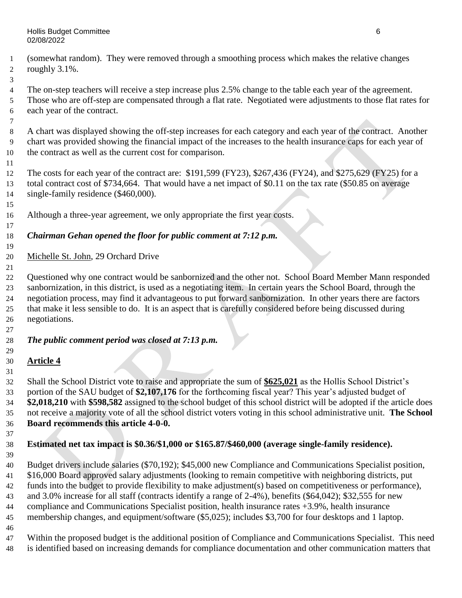- (somewhat random). They were removed through a smoothing process which makes the relative changes roughly 3.1%.
- 

 The on-step teachers will receive a step increase plus 2.5% change to the table each year of the agreement. Those who are off-step are compensated through a flat rate. Negotiated were adjustments to those flat rates for each year of the contract.

 A chart was displayed showing the off-step increases for each category and each year of the contract. Another chart was provided showing the financial impact of the increases to the health insurance caps for each year of the contract as well as the current cost for comparison.

 The costs for each year of the contract are: \$191,599 (FY23), \$267,436 (FY24), and \$275,629 (FY25) for a total contract cost of \$734,664. That would have a net impact of \$0.11 on the tax rate (\$50.85 on average 14 single-family residence (\$460,000).

Although a three-year agreement, we only appropriate the first year costs.

### *Chairman Gehan opened the floor for public comment at 7:12 p.m.*

Michelle St. John, 29 Orchard Drive

 Questioned why one contract would be sanbornized and the other not. School Board Member Mann responded sanbornization, in this district, is used as a negotiating item. In certain years the School Board, through the negotiation process, may find it advantageous to put forward sanbornization. In other years there are factors that make it less sensible to do. It is an aspect that is carefully considered before being discussed during negotiations.

## *The public comment period was closed at 7:13 p.m.*

### **Article 4**

 Shall the School District vote to raise and appropriate the sum of **\$625,021** as the Hollis School District's portion of the SAU budget of **\$2,107,176** for the forthcoming fiscal year? This year's adjusted budget of **\$2,018,210** with **\$598,582** assigned to the school budget of this school district will be adopted if the article does not receive a majority vote of all the school district voters voting in this school administrative unit. **The School Board recommends this article 4-0-0.**

#### **Estimated net tax impact is \$0.36/\$1,000 or \$165.87/\$460,000 (average single-family residence).**

Budget drivers include salaries (\$70,192); \$45,000 new Compliance and Communications Specialist position,

\$16,000 Board approved salary adjustments (looking to remain competitive with neighboring districts, put

funds into the budget to provide flexibility to make adjustment(s) based on competitiveness or performance),

and 3.0% increase for all staff (contracts identify a range of 2-4%), benefits (\$64,042); \$32,555 for new

compliance and Communications Specialist position, health insurance rates +3.9%, health insurance

membership changes, and equipment/software (\$5,025); includes \$3,700 for four desktops and 1 laptop.

Within the proposed budget is the additional position of Compliance and Communications Specialist. This need

is identified based on increasing demands for compliance documentation and other communication matters that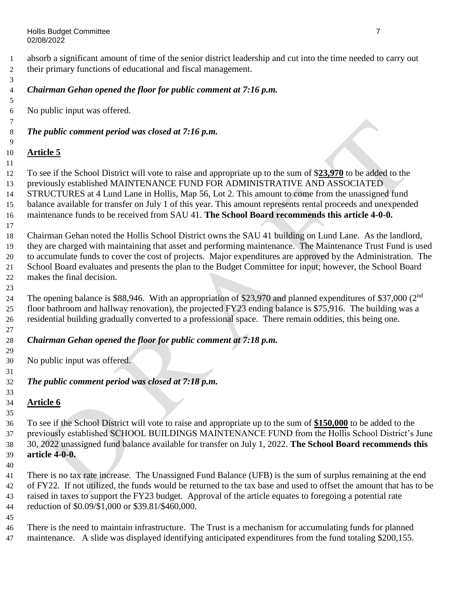absorb a significant amount of time of the senior district leadership and cut into the time needed to carry out their primary functions of educational and fiscal management.

### *Chairman Gehan opened the floor for public comment at 7:16 p.m.*

No public input was offered.

#### *The public comment period was closed at 7:16 p.m.*

#### **Article 5**

 To see if the School District will vote to raise and appropriate up to the sum of \$**23,970** to be added to the previously established MAINTENANCE FUND FOR ADMINISTRATIVE AND ASSOCIATED 14 STRUCTURES at 4 Lund Lane in Hollis, Map 56, Lot 2. This amount to come from the unassigned fund balance available for transfer on July 1 of this year. This amount represents rental proceeds and unexpended maintenance funds to be received from SAU 41. **The School Board recommends this article 4-0-0.**

 Chairman Gehan noted the Hollis School District owns the SAU 41 building on Lund Lane. As the landlord, they are charged with maintaining that asset and performing maintenance. The Maintenance Trust Fund is used to accumulate funds to cover the cost of projects. Major expenditures are approved by the Administration. The School Board evaluates and presents the plan to the Budget Committee for input; however, the School Board makes the final decision.

24 The opening balance is \$88,946. With an appropriation of \$23,970 and planned expenditures of \$37,000 (2<sup>nd</sup>) floor bathroom and hallway renovation), the projected FY23 ending balance is \$75,916. The building was a residential building gradually converted to a professional space. There remain oddities, this being one.

### *Chairman Gehan opened the floor for public comment at 7:18 p.m.*

No public input was offered.

### *The public comment period was closed at 7:18 p.m.*

### **Article 6**

 To see if the School District will vote to raise and appropriate up to the sum of **\$150,000** to be added to the previously established SCHOOL BUILDINGS MAINTENANCE FUND from the Hollis School District's June 30, 2022 unassigned fund balance available for transfer on July 1, 2022. **The School Board recommends this article 4-0-0.**

 There is no tax rate increase. The Unassigned Fund Balance (UFB) is the sum of surplus remaining at the end of FY22. If not utilized, the funds would be returned to the tax base and used to offset the amount that has to be raised in taxes to support the FY23 budget. Approval of the article equates to foregoing a potential rate reduction of \$0.09/\$1,000 or \$39.81/\$460,000.

 There is the need to maintain infrastructure. The Trust is a mechanism for accumulating funds for planned 47 maintenance. A slide was displayed identifying anticipated expenditures from the fund totaling \$200,155.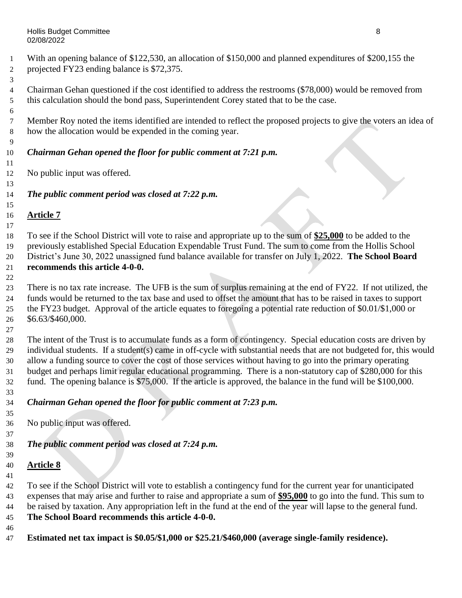With an opening balance of \$122,530, an allocation of \$150,000 and planned expenditures of \$200,155 the projected FY23 ending balance is \$72,375.

 Chairman Gehan questioned if the cost identified to address the restrooms (\$78,000) would be removed from this calculation should the bond pass, Superintendent Corey stated that to be the case.

 Member Roy noted the items identified are intended to reflect the proposed projects to give the voters an idea of how the allocation would be expended in the coming year.

### *Chairman Gehan opened the floor for public comment at 7:21 p.m.*

No public input was offered.

*The public comment period was closed at 7:22 p.m.*

### **Article 7**

 To see if the School District will vote to raise and appropriate up to the sum of **\$25,000** to be added to the previously established Special Education Expendable Trust Fund. The sum to come from the Hollis School District's June 30, 2022 unassigned fund balance available for transfer on July 1, 2022. **The School Board** 

#### **recommends this article 4-0-0.**

 There is no tax rate increase. The UFB is the sum of surplus remaining at the end of FY22. If not utilized, the funds would be returned to the tax base and used to offset the amount that has to be raised in taxes to support the FY23 budget. Approval of the article equates to foregoing a potential rate reduction of \$0.01/\$1,000 or \$6.63/\$460,000.

 The intent of the Trust is to accumulate funds as a form of contingency. Special education costs are driven by individual students. If a student(s) came in off-cycle with substantial needs that are not budgeted for, this would allow a funding source to cover the cost of those services without having to go into the primary operating budget and perhaps limit regular educational programming. There is a non-statutory cap of \$280,000 for this fund. The opening balance is \$75,000. If the article is approved, the balance in the fund will be \$100,000.

## *Chairman Gehan opened the floor for public comment at 7:23 p.m.*

No public input was offered.

## *The public comment period was closed at 7:24 p.m.*

#### **Article 8**

 To see if the School District will vote to establish a contingency fund for the current year for unanticipated expenses that may arise and further to raise and appropriate a sum of **\$95,000** to go into the fund. This sum to be raised by taxation. Any appropriation left in the fund at the end of the year will lapse to the general fund. **The School Board recommends this article 4-0-0.**

**Estimated net tax impact is \$0.05/\$1,000 or \$25.21/\$460,000 (average single-family residence).**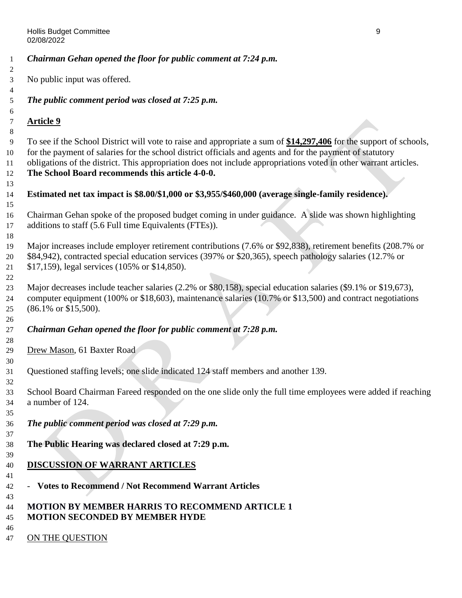*Chairman Gehan opened the floor for public comment at 7:24 p.m.* No public input was offered. *The public comment period was closed at 7:25 p.m.* **Article 9** To see if the School District will vote to raise and appropriate a sum of **\$14,297,406** for the support of schools, for the payment of salaries for the school district officials and agents and for the payment of statutory obligations of the district. This appropriation does not include appropriations voted in other warrant articles. **The School Board recommends this article 4-0-0. Estimated net tax impact is \$8.00/\$1,000 or \$3,955/\$460,000 (average single-family residence).** Chairman Gehan spoke of the proposed budget coming in under guidance. A slide was shown highlighting additions to staff (5.6 Full time Equivalents (FTEs)). Major increases include employer retirement contributions (7.6% or \$92,838), retirement benefits (208.7% or \$84,942), contracted special education services (397% or \$20,365), speech pathology salaries (12.7% or \$17,159), legal services (105% or \$14,850). Major decreases include teacher salaries (2.2% or \$80,158), special education salaries (\$9.1% or \$19,673), computer equipment (100% or \$18,603), maintenance salaries (10.7% or \$13,500) and contract negotiations (86.1% or \$15,500). *Chairman Gehan opened the floor for public comment at 7:28 p.m.* Drew Mason, 61 Baxter Road Questioned staffing levels; one slide indicated 124 staff members and another 139. School Board Chairman Fareed responded on the one slide only the full time employees were added if reaching a number of 124. *The public comment period was closed at 7:29 p.m.* **The Public Hearing was declared closed at 7:29 p.m. DISCUSSION OF WARRANT ARTICLES** - **Votes to Recommend / Not Recommend Warrant Articles MOTION BY MEMBER HARRIS TO RECOMMEND ARTICLE 1 MOTION SECONDED BY MEMBER HYDE** 47 ON THE QUESTION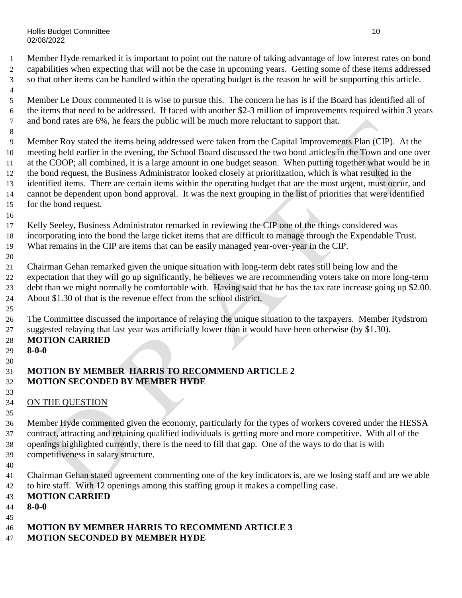Hollis Budget Committee 10 and 10 and 10 and 10 and 10 and 10 and 10 and 10 and 10 and 10 and 10 and 10 and 10 02/08/2022

 Member Hyde remarked it is important to point out the nature of taking advantage of low interest rates on bond capabilities when expecting that will not be the case in upcoming years. Getting some of these items addressed so that other items can be handled within the operating budget is the reason he will be supporting this article.

- Member Le Doux commented it is wise to pursue this. The concern he has is if the Board has identified all of the items that need to be addressed. If faced with another \$2-3 million of improvements required within 3 years and bond rates are 6%, he fears the public will be much more reluctant to support that.
- 

 Member Roy stated the items being addressed were taken from the Capital Improvements Plan (CIP). At the meeting held earlier in the evening, the School Board discussed the two bond articles in the Town and one over at the COOP; all combined, it is a large amount in one budget season. When putting together what would be in the bond request, the Business Administrator looked closely at prioritization, which is what resulted in the identified items. There are certain items within the operating budget that are the most urgent, must occur, and cannot be dependent upon bond approval. It was the next grouping in the list of priorities that were identified for the bond request.

- Kelly Seeley, Business Administrator remarked in reviewing the CIP one of the things considered was incorporating into the bond the large ticket items that are difficult to manage through the Expendable Trust.
- What remains in the CIP are items that can be easily managed year-over-year in the CIP.
- Chairman Gehan remarked given the unique situation with long-term debt rates still being low and the expectation that they will go up significantly, he believes we are recommending voters take on more long-term debt than we might normally be comfortable with. Having said that he has the tax rate increase going up \$2.00. About \$1.30 of that is the revenue effect from the school district.
- The Committee discussed the importance of relaying the unique situation to the taxpayers. Member Rydstrom suggested relaying that last year was artificially lower than it would have been otherwise (by \$1.30).

### **MOTION CARRIED**

**8-0-0**

#### 

### **MOTION BY MEMBER HARRIS TO RECOMMEND ARTICLE 2 MOTION SECONDED BY MEMBER HYDE**

 34 ON THE QUESTION

 Member Hyde commented given the economy, particularly for the types of workers covered under the HESSA contract, attracting and retaining qualified individuals is getting more and more competitive. With all of the openings highlighted currently, there is the need to fill that gap. One of the ways to do that is with competitiveness in salary structure.

- 
- Chairman Gehan stated agreement commenting one of the key indicators is, are we losing staff and are we able to hire staff. With 12 openings among this staffing group it makes a compelling case.
- **MOTION CARRIED**
- **8-0-0**
- 
- **MOTION BY MEMBER HARRIS TO RECOMMEND ARTICLE 3**
- **MOTION SECONDED BY MEMBER HYDE**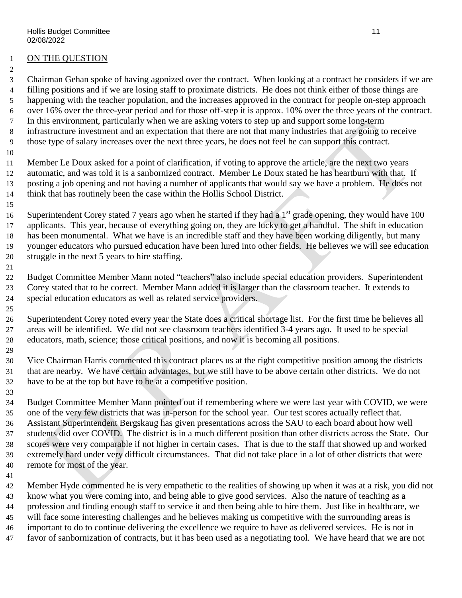### ON THE QUESTION

 Chairman Gehan spoke of having agonized over the contract. When looking at a contract he considers if we are filling positions and if we are losing staff to proximate districts. He does not think either of those things are happening with the teacher population, and the increases approved in the contract for people on-step approach over 16% over the three-year period and for those off-step it is approx. 10% over the three years of the contract. In this environment, particularly when we are asking voters to step up and support some long-term infrastructure investment and an expectation that there are not that many industries that are going to receive those type of salary increases over the next three years, he does not feel he can support this contract.

 Member Le Doux asked for a point of clarification, if voting to approve the article, are the next two years automatic, and was told it is a sanbornized contract. Member Le Doux stated he has heartburn with that. If posting a job opening and not having a number of applicants that would say we have a problem. He does not think that has routinely been the case within the Hollis School District.

16 Superintendent Corey stated 7 years ago when he started if they had a  $1<sup>st</sup>$  grade opening, they would have 100 applicants. This year, because of everything going on, they are lucky to get a handful. The shift in education has been monumental. What we have is an incredible staff and they have been working diligently, but many younger educators who pursued education have been lured into other fields. He believes we will see education struggle in the next 5 years to hire staffing. 

 Budget Committee Member Mann noted "teachers" also include special education providers. Superintendent Corey stated that to be correct. Member Mann added it is larger than the classroom teacher. It extends to special education educators as well as related service providers.

 Superintendent Corey noted every year the State does a critical shortage list. For the first time he believes all areas will be identified. We did not see classroom teachers identified 3-4 years ago. It used to be special educators, math, science; those critical positions, and now it is becoming all positions.

 Vice Chairman Harris commented this contract places us at the right competitive position among the districts that are nearby. We have certain advantages, but we still have to be above certain other districts. We do not have to be at the top but have to be at a competitive position.

 Budget Committee Member Mann pointed out if remembering where we were last year with COVID, we were one of the very few districts that was in-person for the school year. Our test scores actually reflect that. Assistant Superintendent Bergskaug has given presentations across the SAU to each board about how well students did over COVID. The district is in a much different position than other districts across the State. Our scores were very comparable if not higher in certain cases. That is due to the staff that showed up and worked extremely hard under very difficult circumstances. That did not take place in a lot of other districts that were remote for most of the year.

 Member Hyde commented he is very empathetic to the realities of showing up when it was at a risk, you did not know what you were coming into, and being able to give good services. Also the nature of teaching as a profession and finding enough staff to service it and then being able to hire them. Just like in healthcare, we will face some interesting challenges and he believes making us competitive with the surrounding areas is important to do to continue delivering the excellence we require to have as delivered services. He is not in favor of sanbornization of contracts, but it has been used as a negotiating tool. We have heard that we are not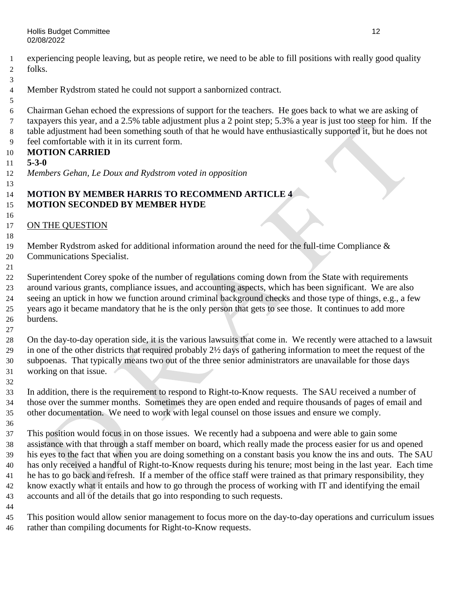experiencing people leaving, but as people retire, we need to be able to fill positions with really good quality folks.

- Member Rydstrom stated he could not support a sanbornized contract.
- Chairman Gehan echoed the expressions of support for the teachers. He goes back to what we are asking of taxpayers this year, and a 2.5% table adjustment plus a 2 point step; 5.3% a year is just too steep for him. If the table adjustment had been something south of that he would have enthusiastically supported it, but he does not feel comfortable with it in its current form.

#### **MOTION CARRIED**

- **5-3-0**
- *Members Gehan, Le Doux and Rydstrom voted in opposition*

#### **MOTION BY MEMBER HARRIS TO RECOMMEND ARTICLE 4 MOTION SECONDED BY MEMBER HYDE**

ON THE QUESTION

Member Rydstrom asked for additional information around the need for the full-time Compliance &

Communications Specialist.

 Superintendent Corey spoke of the number of regulations coming down from the State with requirements around various grants, compliance issues, and accounting aspects, which has been significant. We are also seeing an uptick in how we function around criminal background checks and those type of things, e.g., a few years ago it became mandatory that he is the only person that gets to see those. It continues to add more burdens.

 On the day-to-day operation side, it is the various lawsuits that come in. We recently were attached to a lawsuit in one of the other districts that required probably 2½ days of gathering information to meet the request of the subpoenas. That typically means two out of the three senior administrators are unavailable for those days working on that issue.

 In addition, there is the requirement to respond to Right-to-Know requests. The SAU received a number of those over the summer months. Sometimes they are open ended and require thousands of pages of email and other documentation. We need to work with legal counsel on those issues and ensure we comply.

 This position would focus in on those issues. We recently had a subpoena and were able to gain some assistance with that through a staff member on board, which really made the process easier for us and opened his eyes to the fact that when you are doing something on a constant basis you know the ins and outs. The SAU has only received a handful of Right-to-Know requests during his tenure; most being in the last year. Each time he has to go back and refresh. If a member of the office staff were trained as that primary responsibility, they know exactly what it entails and how to go through the process of working with IT and identifying the email accounts and all of the details that go into responding to such requests.

 This position would allow senior management to focus more on the day-to-day operations and curriculum issues rather than compiling documents for Right-to-Know requests.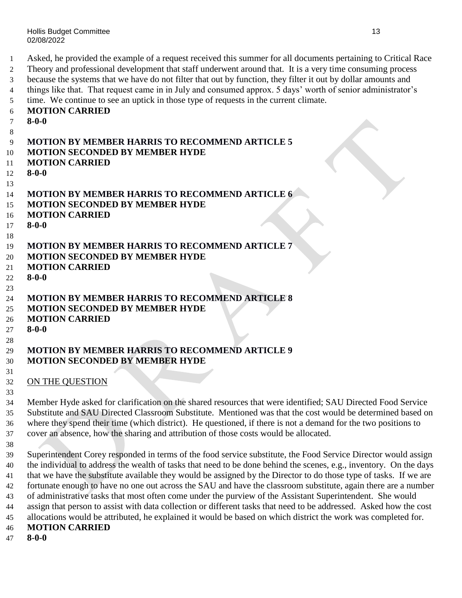Asked, he provided the example of a request received this summer for all documents pertaining to Critical Race Theory and professional development that staff underwent around that. It is a very time consuming process because the systems that we have do not filter that out by function, they filter it out by dollar amounts and things like that. That request came in in July and consumed approx. 5 days' worth of senior administrator's time. We continue to see an uptick in those type of requests in the current climate.

### **MOTION CARRIED**

- **8-0-0**
- 

```
9 MOTION BY MEMBER HARRIS TO RECOMMEND ARTICLE 5
10 MOTION SECONDED BY MEMBER HYDE
11 MOTION CARRIED
12 8-0-0
13
14 MOTION BY MEMBER HARRIS TO RECOMMEND ARTICLE 6
15 MOTION SECONDED BY MEMBER HYDE
16 MOTION CARRIED
17 8-0-0
18
19 MOTION BY MEMBER HARRIS TO RECOMMEND ARTICLE 7
20 MOTION SECONDED BY MEMBER HYDE
21 MOTION CARRIED
22 8-0-0
23
24 MOTION BY MEMBER HARRIS TO RECOMMEND ARTICLE 8
25 MOTION SECONDED BY MEMBER HYDE
26 MOTION CARRIED
27 8-0-0
28
29 MOTION BY MEMBER HARRIS TO RECOMMEND ARTICLE 9
30 MOTION SECONDED BY MEMBER HYDE
31
32 ON THE QUESTION
33
```
 Member Hyde asked for clarification on the shared resources that were identified; SAU Directed Food Service Substitute and SAU Directed Classroom Substitute. Mentioned was that the cost would be determined based on where they spend their time (which district). He questioned, if there is not a demand for the two positions to cover an absence, how the sharing and attribution of those costs would be allocated.

 Superintendent Corey responded in terms of the food service substitute, the Food Service Director would assign the individual to address the wealth of tasks that need to be done behind the scenes, e.g., inventory. On the days that we have the substitute available they would be assigned by the Director to do those type of tasks. If we are fortunate enough to have no one out across the SAU and have the classroom substitute, again there are a number of administrative tasks that most often come under the purview of the Assistant Superintendent. She would assign that person to assist with data collection or different tasks that need to be addressed. Asked how the cost allocations would be attributed, he explained it would be based on which district the work was completed for. **MOTION CARRIED**

**8-0-0**